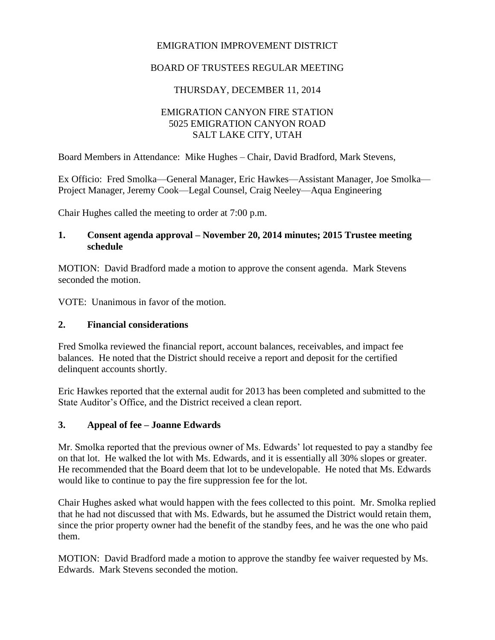#### EMIGRATION IMPROVEMENT DISTRICT

#### BOARD OF TRUSTEES REGULAR MEETING

#### THURSDAY, DECEMBER 11, 2014

## EMIGRATION CANYON FIRE STATION 5025 EMIGRATION CANYON ROAD SALT LAKE CITY, UTAH

Board Members in Attendance: Mike Hughes – Chair, David Bradford, Mark Stevens,

Ex Officio: Fred Smolka—General Manager, Eric Hawkes—Assistant Manager, Joe Smolka— Project Manager, Jeremy Cook—Legal Counsel, Craig Neeley—Aqua Engineering

Chair Hughes called the meeting to order at 7:00 p.m.

#### **1. Consent agenda approval – November 20, 2014 minutes; 2015 Trustee meeting schedule**

MOTION: David Bradford made a motion to approve the consent agenda. Mark Stevens seconded the motion.

VOTE: Unanimous in favor of the motion.

#### **2. Financial considerations**

Fred Smolka reviewed the financial report, account balances, receivables, and impact fee balances. He noted that the District should receive a report and deposit for the certified delinquent accounts shortly.

Eric Hawkes reported that the external audit for 2013 has been completed and submitted to the State Auditor's Office, and the District received a clean report.

#### **3. Appeal of fee – Joanne Edwards**

Mr. Smolka reported that the previous owner of Ms. Edwards' lot requested to pay a standby fee on that lot. He walked the lot with Ms. Edwards, and it is essentially all 30% slopes or greater. He recommended that the Board deem that lot to be undevelopable. He noted that Ms. Edwards would like to continue to pay the fire suppression fee for the lot.

Chair Hughes asked what would happen with the fees collected to this point. Mr. Smolka replied that he had not discussed that with Ms. Edwards, but he assumed the District would retain them, since the prior property owner had the benefit of the standby fees, and he was the one who paid them.

MOTION: David Bradford made a motion to approve the standby fee waiver requested by Ms. Edwards. Mark Stevens seconded the motion.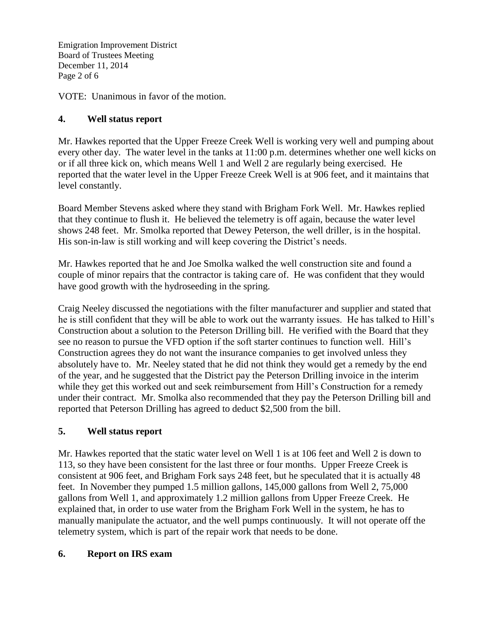Emigration Improvement District Board of Trustees Meeting December 11, 2014 Page 2 of 6

VOTE: Unanimous in favor of the motion.

# **4. Well status report**

Mr. Hawkes reported that the Upper Freeze Creek Well is working very well and pumping about every other day. The water level in the tanks at 11:00 p.m. determines whether one well kicks on or if all three kick on, which means Well 1 and Well 2 are regularly being exercised. He reported that the water level in the Upper Freeze Creek Well is at 906 feet, and it maintains that level constantly.

Board Member Stevens asked where they stand with Brigham Fork Well. Mr. Hawkes replied that they continue to flush it. He believed the telemetry is off again, because the water level shows 248 feet. Mr. Smolka reported that Dewey Peterson, the well driller, is in the hospital. His son-in-law is still working and will keep covering the District's needs.

Mr. Hawkes reported that he and Joe Smolka walked the well construction site and found a couple of minor repairs that the contractor is taking care of. He was confident that they would have good growth with the hydroseeding in the spring.

Craig Neeley discussed the negotiations with the filter manufacturer and supplier and stated that he is still confident that they will be able to work out the warranty issues. He has talked to Hill's Construction about a solution to the Peterson Drilling bill. He verified with the Board that they see no reason to pursue the VFD option if the soft starter continues to function well. Hill's Construction agrees they do not want the insurance companies to get involved unless they absolutely have to. Mr. Neeley stated that he did not think they would get a remedy by the end of the year, and he suggested that the District pay the Peterson Drilling invoice in the interim while they get this worked out and seek reimbursement from Hill's Construction for a remedy under their contract. Mr. Smolka also recommended that they pay the Peterson Drilling bill and reported that Peterson Drilling has agreed to deduct \$2,500 from the bill.

## **5. Well status report**

Mr. Hawkes reported that the static water level on Well 1 is at 106 feet and Well 2 is down to 113, so they have been consistent for the last three or four months. Upper Freeze Creek is consistent at 906 feet, and Brigham Fork says 248 feet, but he speculated that it is actually 48 feet. In November they pumped 1.5 million gallons, 145,000 gallons from Well 2, 75,000 gallons from Well 1, and approximately 1.2 million gallons from Upper Freeze Creek. He explained that, in order to use water from the Brigham Fork Well in the system, he has to manually manipulate the actuator, and the well pumps continuously. It will not operate off the telemetry system, which is part of the repair work that needs to be done.

## **6. Report on IRS exam**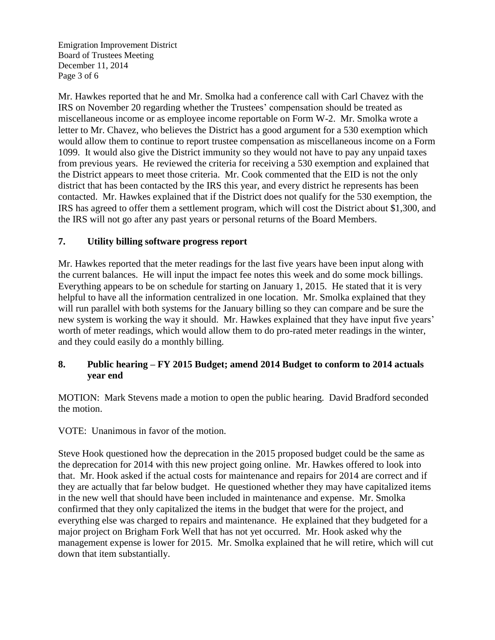Emigration Improvement District Board of Trustees Meeting December 11, 2014 Page 3 of 6

Mr. Hawkes reported that he and Mr. Smolka had a conference call with Carl Chavez with the IRS on November 20 regarding whether the Trustees' compensation should be treated as miscellaneous income or as employee income reportable on Form W-2. Mr. Smolka wrote a letter to Mr. Chavez, who believes the District has a good argument for a 530 exemption which would allow them to continue to report trustee compensation as miscellaneous income on a Form 1099. It would also give the District immunity so they would not have to pay any unpaid taxes from previous years. He reviewed the criteria for receiving a 530 exemption and explained that the District appears to meet those criteria. Mr. Cook commented that the EID is not the only district that has been contacted by the IRS this year, and every district he represents has been contacted. Mr. Hawkes explained that if the District does not qualify for the 530 exemption, the IRS has agreed to offer them a settlement program, which will cost the District about \$1,300, and the IRS will not go after any past years or personal returns of the Board Members.

## **7. Utility billing software progress report**

Mr. Hawkes reported that the meter readings for the last five years have been input along with the current balances. He will input the impact fee notes this week and do some mock billings. Everything appears to be on schedule for starting on January 1, 2015. He stated that it is very helpful to have all the information centralized in one location. Mr. Smolka explained that they will run parallel with both systems for the January billing so they can compare and be sure the new system is working the way it should. Mr. Hawkes explained that they have input five years' worth of meter readings, which would allow them to do pro-rated meter readings in the winter, and they could easily do a monthly billing.

# **8. Public hearing – FY 2015 Budget; amend 2014 Budget to conform to 2014 actuals year end**

MOTION: Mark Stevens made a motion to open the public hearing. David Bradford seconded the motion.

VOTE: Unanimous in favor of the motion.

Steve Hook questioned how the deprecation in the 2015 proposed budget could be the same as the deprecation for 2014 with this new project going online. Mr. Hawkes offered to look into that. Mr. Hook asked if the actual costs for maintenance and repairs for 2014 are correct and if they are actually that far below budget. He questioned whether they may have capitalized items in the new well that should have been included in maintenance and expense. Mr. Smolka confirmed that they only capitalized the items in the budget that were for the project, and everything else was charged to repairs and maintenance. He explained that they budgeted for a major project on Brigham Fork Well that has not yet occurred. Mr. Hook asked why the management expense is lower for 2015. Mr. Smolka explained that he will retire, which will cut down that item substantially.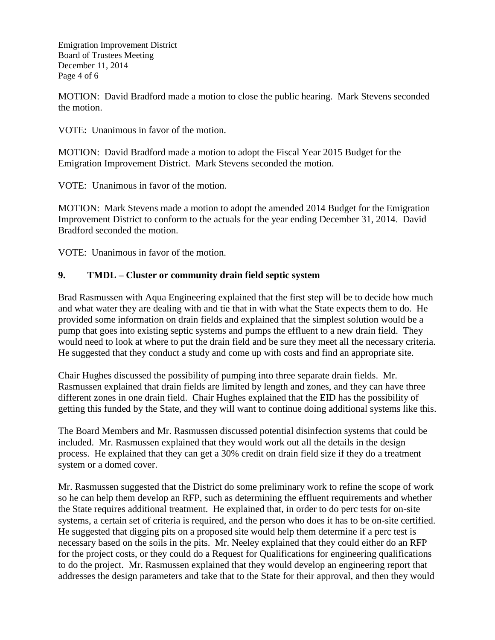Emigration Improvement District Board of Trustees Meeting December 11, 2014 Page 4 of 6

MOTION: David Bradford made a motion to close the public hearing. Mark Stevens seconded the motion.

VOTE: Unanimous in favor of the motion.

MOTION: David Bradford made a motion to adopt the Fiscal Year 2015 Budget for the Emigration Improvement District. Mark Stevens seconded the motion.

VOTE: Unanimous in favor of the motion.

MOTION: Mark Stevens made a motion to adopt the amended 2014 Budget for the Emigration Improvement District to conform to the actuals for the year ending December 31, 2014. David Bradford seconded the motion.

VOTE: Unanimous in favor of the motion.

## **9. TMDL – Cluster or community drain field septic system**

Brad Rasmussen with Aqua Engineering explained that the first step will be to decide how much and what water they are dealing with and tie that in with what the State expects them to do. He provided some information on drain fields and explained that the simplest solution would be a pump that goes into existing septic systems and pumps the effluent to a new drain field. They would need to look at where to put the drain field and be sure they meet all the necessary criteria. He suggested that they conduct a study and come up with costs and find an appropriate site.

Chair Hughes discussed the possibility of pumping into three separate drain fields. Mr. Rasmussen explained that drain fields are limited by length and zones, and they can have three different zones in one drain field. Chair Hughes explained that the EID has the possibility of getting this funded by the State, and they will want to continue doing additional systems like this.

The Board Members and Mr. Rasmussen discussed potential disinfection systems that could be included. Mr. Rasmussen explained that they would work out all the details in the design process. He explained that they can get a 30% credit on drain field size if they do a treatment system or a domed cover.

Mr. Rasmussen suggested that the District do some preliminary work to refine the scope of work so he can help them develop an RFP, such as determining the effluent requirements and whether the State requires additional treatment. He explained that, in order to do perc tests for on-site systems, a certain set of criteria is required, and the person who does it has to be on-site certified. He suggested that digging pits on a proposed site would help them determine if a perc test is necessary based on the soils in the pits. Mr. Neeley explained that they could either do an RFP for the project costs, or they could do a Request for Qualifications for engineering qualifications to do the project. Mr. Rasmussen explained that they would develop an engineering report that addresses the design parameters and take that to the State for their approval, and then they would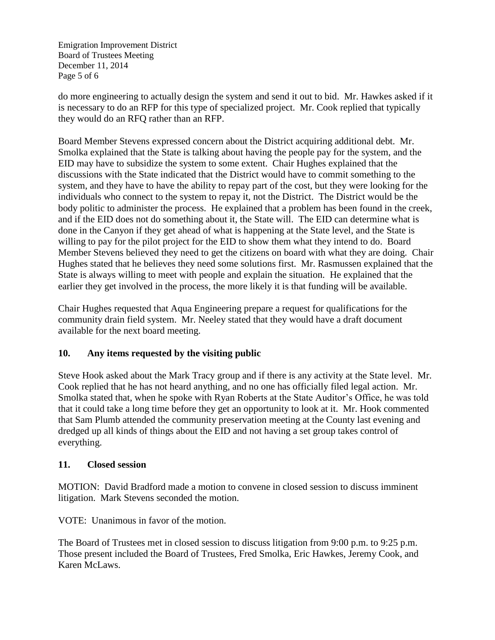Emigration Improvement District Board of Trustees Meeting December 11, 2014 Page 5 of 6

do more engineering to actually design the system and send it out to bid. Mr. Hawkes asked if it is necessary to do an RFP for this type of specialized project. Mr. Cook replied that typically they would do an RFQ rather than an RFP.

Board Member Stevens expressed concern about the District acquiring additional debt. Mr. Smolka explained that the State is talking about having the people pay for the system, and the EID may have to subsidize the system to some extent. Chair Hughes explained that the discussions with the State indicated that the District would have to commit something to the system, and they have to have the ability to repay part of the cost, but they were looking for the individuals who connect to the system to repay it, not the District. The District would be the body politic to administer the process. He explained that a problem has been found in the creek, and if the EID does not do something about it, the State will. The EID can determine what is done in the Canyon if they get ahead of what is happening at the State level, and the State is willing to pay for the pilot project for the EID to show them what they intend to do. Board Member Stevens believed they need to get the citizens on board with what they are doing. Chair Hughes stated that he believes they need some solutions first. Mr. Rasmussen explained that the State is always willing to meet with people and explain the situation. He explained that the earlier they get involved in the process, the more likely it is that funding will be available.

Chair Hughes requested that Aqua Engineering prepare a request for qualifications for the community drain field system. Mr. Neeley stated that they would have a draft document available for the next board meeting.

## **10. Any items requested by the visiting public**

Steve Hook asked about the Mark Tracy group and if there is any activity at the State level. Mr. Cook replied that he has not heard anything, and no one has officially filed legal action. Mr. Smolka stated that, when he spoke with Ryan Roberts at the State Auditor's Office, he was told that it could take a long time before they get an opportunity to look at it. Mr. Hook commented that Sam Plumb attended the community preservation meeting at the County last evening and dredged up all kinds of things about the EID and not having a set group takes control of everything.

## **11. Closed session**

MOTION: David Bradford made a motion to convene in closed session to discuss imminent litigation. Mark Stevens seconded the motion.

VOTE: Unanimous in favor of the motion.

The Board of Trustees met in closed session to discuss litigation from 9:00 p.m. to 9:25 p.m. Those present included the Board of Trustees, Fred Smolka, Eric Hawkes, Jeremy Cook, and Karen McLaws.